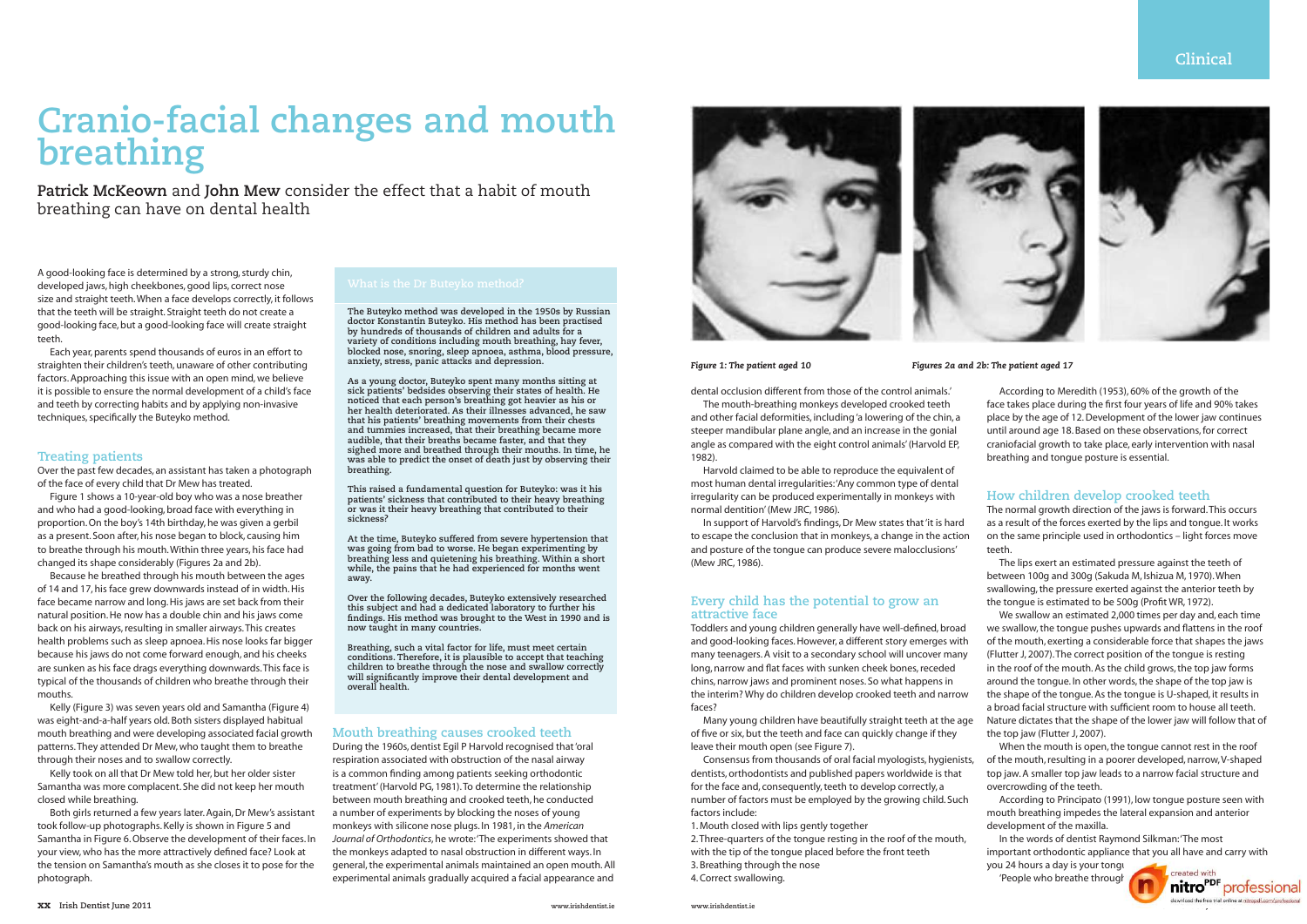# **Clinical**



#### *Figure 1: The patient aged 10*

# **Cranio-facial changes and mouth breathing**

**Patrick McKeown** and **John Mew** consider the effect that a habit of mouth breathing can have on dental health

A good-looking face is determined by a strong, sturdy chin, developed jaws, high cheekbones, good lips, correct nose size and straight teeth. When a face develops correctly, it follows that the teeth will be straight. Straight teeth do not create a good-looking face, but a good-looking face will create straight teeth.

Each year, parents spend thousands of euros in an effort to straighten their children's teeth, unaware of other contributing factors. Approaching this issue with an open mind, we believe it is possible to ensure the normal development of a child's face and teeth by correcting habits and by applying non-invasive techniques, specifically the Buteyko method.

#### **Treating patients**

Over the past few decades, an assistant has taken a photograph of the face of every child that Dr Mew has treated.

Figure 1 shows a 10-year-old boy who was a nose breather and who had a good-looking, broad face with everything in proportion. On the boy's 14th birthday, he was given a gerbil as a present. Soon after, his nose began to block, causing him to breathe through his mouth. Within three years, his face had changed its shape considerably (Figures 2a and 2b).

Because he breathed through his mouth between the ages of 14 and 17, his face grew downwards instead of in width. His face became narrow and long. His jaws are set back from their natural position. He now has a double chin and his jaws come back on his airways, resulting in smaller airways. This creates health problems such as sleep apnoea. His nose looks far bigger because his jaws do not come forward enough, and his cheeks are sunken as his face drags everything downwards. This face is typical of the thousands of children who breathe through their mouths.

Kelly (Figure 3) was seven years old and Samantha (Figure 4) was eight-and-a-half years old. Both sisters displayed habitual mouth breathing and were developing associated facial growth patterns. They attended Dr Mew, who taught them to breathe through their noses and to swallow correctly.

Kelly took on all that Dr Mew told her, but her older sister Samantha was more complacent. She did not keep her mouth closed while breathing.

Both girls returned a few years later. Again, Dr Mew's assistant took follow-up photographs. Kelly is shown in Figure 5 and Samantha in Figure 6. Observe the development of their faces. In your view, who has the more attractively defined face? Look at the tension on Samantha's mouth as she closes it to pose for the photograph.

#### **Mouth breathing causes crooked teeth**

During the 1960s, dentist Egil P Harvold recognised that 'oral respiration associated with obstruction of the nasal airway is a common finding among patients seeking orthodontic treatment' (Harvold PG, 1981). To determine the relationship between mouth breathing and crooked teeth, he conducted a number of experiments by blocking the noses of young monkeys with silicone nose plugs. In 1981, in the *American Journal of Orthodontics*, he wrote: 'The experiments showed that the monkeys adapted to nasal obstruction in different ways. In general, the experimental animals maintained an open mouth. All experimental animals gradually acquired a facial appearance and



*Figures 2a and 2b: The patient aged 17*

dental occlusion different from those of the control animals.'

The mouth-breathing monkeys developed crooked teeth and other facial deformities, including 'a lowering of the chin, a steeper mandibular plane angle, and an increase in the gonial angle as compared with the eight control animals' (Harvold EP, 1982).

Harvold claimed to be able to reproduce the equivalent of most human dental irregularities: 'Any common type of dental irregularity can be produced experimentally in monkeys with normal dentition' (Mew JRC, 1986).

In support of Harvold's findings, Dr Mew states that 'it is hard to escape the conclusion that in monkeys, a change in the action and posture of the tongue can produce severe malocclusions' (Mew JRC, 1986).

## **Every child has the potential to grow an attractive face**

Toddlers and young children generally have well-defined, broad and good-looking faces. However, a different story emerges with many teenagers. A visit to a secondary school will uncover many long, narrow and flat faces with sunken cheek bones, receded chins, narrow jaws and prominent noses. So what happens in the interim? Why do children develop crooked teeth and narrow faces?

Many young children have beautifully straight teeth at the age of five or six, but the teeth and face can quickly change if they leave their mouth open (see Figure 7).

Consensus from thousands of oral facial myologists, hygienists, dentists, orthodontists and published papers worldwide is that for the face and, consequently, teeth to develop correctly, a number of factors must be employed by the growing child. Such factors include:

1. Mouth closed with lips gently together

2. Three-quarters of the tongue resting in the roof of the mouth, with the tip of the tongue placed before the front teeth 3. Breathing through the nose

4. Correct swallowing.

According to Meredith (1953), 60% of the growth of the face takes place during the first four years of life and 90% takes place by the age of 12. Development of the lower jaw continues until around age 18. Based on these observations, for correct craniofacial growth to take place, early intervention with nasal breathing and tongue posture is essential.

# **How children develop crooked teeth**

The normal growth direction of the jaws is forward. This occurs as a result of the forces exerted by the lips and tongue. It works on the same principle used in orthodontics – light forces move teeth.

The lips exert an estimated pressure against the teeth of between 100g and 300g (Sakuda M, Ishizua M, 1970). When swallowing, the pressure exerted against the anterior teeth by the tongue is estimated to be 500g (Profit WR, 1972).

We swallow an estimated 2,000 times per day and, each time we swallow, the tongue pushes upwards and flattens in the roof of the mouth, exerting a considerable force that shapes the jaws (Flutter J, 2007). The correct position of the tongue is resting in the roof of the mouth. As the child grows, the top jaw forms around the tongue. In other words, the shape of the top jaw is the shape of the tongue. As the tongue is U-shaped, it results in a broad facial structure with sufficient room to house all teeth. Nature dictates that the shape of the lower jaw will follow that of the top jaw (Flutter J, 2007).

When the mouth is open, the tongue cannot rest in the roof of the mouth, resulting in a poorer developed, narrow, V-shaped top jaw. A smaller top jaw leads to a narrow facial structure and overcrowding of the teeth.

According to Principato (1991), low tongue posture seen with mouth breathing impedes the lateral expansion and anterior development of the maxilla.

In the words of dentist Raymond Silkman: 'The most important orthodontic appliance that you all have and carry with

you 24 hours a day is your tongue.

**www.irishdentist.ie** *download the free trial online at nitropdf.con* The ople who breathe through the stated with the professional

**The Buteyko method was developed in the 1950s by Russian doctor Konstantin Buteyko. His method has been practised by hundreds of thousands of children and adults for a variety of conditions including mouth breathing, hay fever, blocked nose, snoring, sleep apnoea, asthma, blood pressure, anxiety, stress, panic attacks and depression.** 

**As a young doctor, Buteyko spent many months sitting at sick patients' bedsides observing their states of health. He noticed that each person's breathing got heavier as his or her health deteriorated. As their illnesses advanced, he saw that his patients' breathing movements from their chests and tummies increased, that their breathing became more audible, that their breaths became faster, and that they sighed more and breathed through their mouths. In time, he was able to predict the onset of death just by observing their breathing.**

**This raised a fundamental question for Buteyko: was it his patients' sickness that contributed to their heavy breathing or was it their heavy breathing that contributed to their sickness?**

**At the time, Buteyko suffered from severe hypertension that was going from bad to worse. He began experimenting by breathing less and quietening his breathing. Within a short while, the pains that he had experienced for months went away.**

**Over the following decades, Buteyko extensively researched this subject and had a dedicated laboratory to further his findings. His method was brought to the West in 1990 and is now taught in many countries.** 

**Breathing, such a vital factor for life, must meet certain conditions. Therefore, it is plausible to accept that teaching children to breathe through the nose and swallow correctly will significantly improve their dental development and overall health.**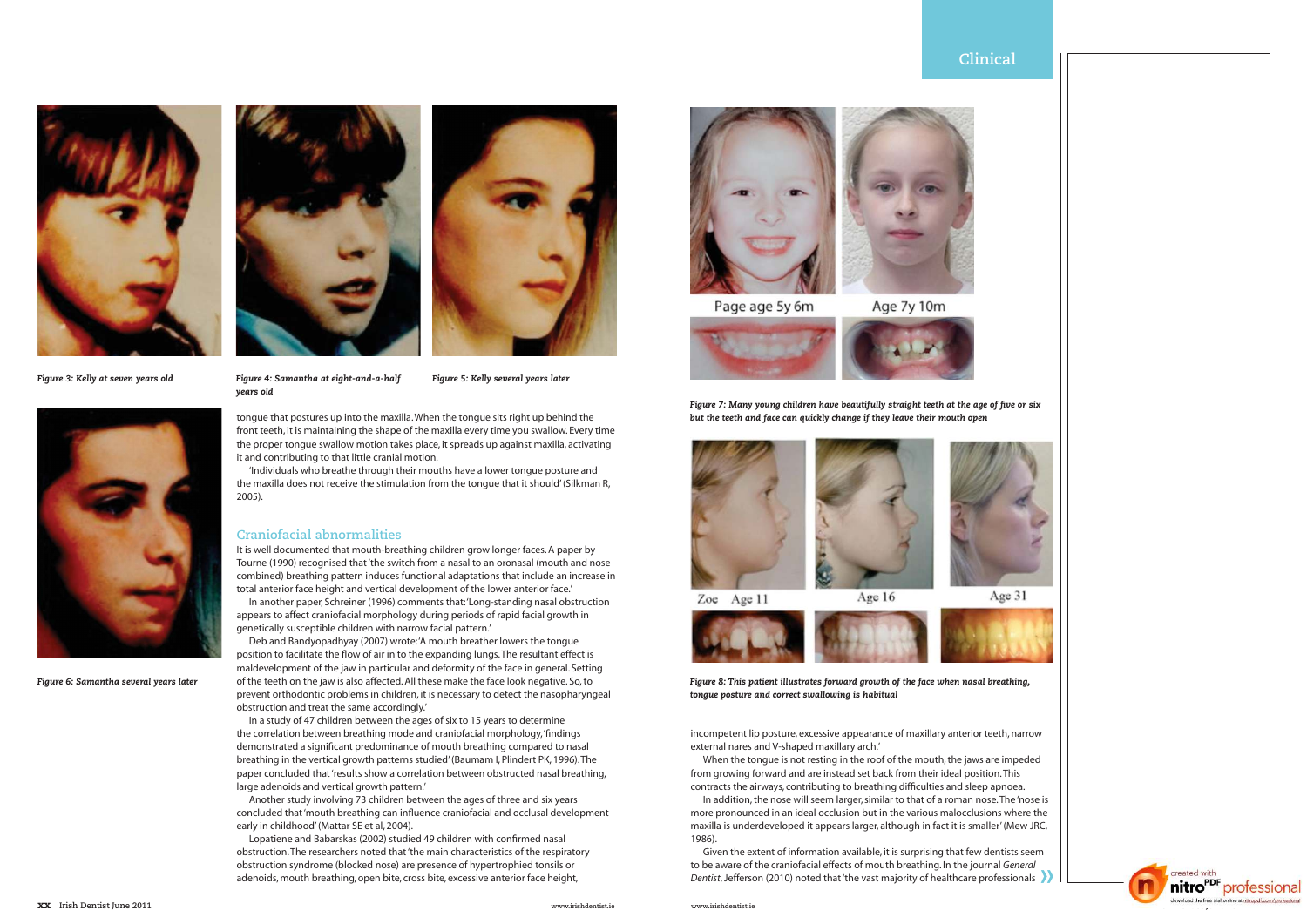



Age 31





created with nitro<sup>PDF</sup> professional

tongue that postures up into the maxilla. When the tongue sits right up behind the front teeth, it is maintaining the shape of the maxilla every time you swallow. Every time the proper tongue swallow motion takes place, it spreads up against maxilla, activating it and contributing to that little cranial motion. 'Individuals who breathe through their mouths have a lower tongue posture and

the maxilla does not receive the stimulation from the tongue that it should' (Silkman R, 2005).

#### **Craniofacial abnormalities**

It is well documented that mouth-breathing children grow longer faces. A paper by Tourne (1990) recognised that 'the switch from a nasal to an oronasal (mouth and nose combined) breathing pattern induces functional adaptations that include an increase in total anterior face height and vertical development of the lower anterior face.'

In another paper, Schreiner (1996) comments that: 'Long-standing nasal obstruction appears to affect craniofacial morphology during periods of rapid facial growth in genetically susceptible children with narrow facial pattern.'

Deb and Bandyopadhyay (2007) wrote: 'A mouth breather lowers the tongue position to facilitate the flow of air in to the expanding lungs. The resultant effect is maldevelopment of the jaw in particular and deformity of the face in general. Setting of the teeth on the jaw is also affected. All these make the face look negative. So, to prevent orthodontic problems in children, it is necessary to detect the nasopharyngeal obstruction and treat the same accordingly.'

> Given the extent of information available, it is surprising that lew defits is seen<br>to be aware of the craniofacial effects of mouth breathing. In the journal *General*<br>Dentist, Jefferson (2010) noted that 'the vast majori Given the extent of information available, it is surprising that few dentists seem to be aware of the craniofacial effects of mouth breathing. In the journal *General*

In a study of 47 children between the ages of six to 15 years to determine the correlation between breathing mode and craniofacial morphology, 'findings demonstrated a significant predominance of mouth breathing compared to nasal breathing in the vertical growth patterns studied' (Baumam I, Plindert PK, 1996). The paper concluded that 'results show a correlation between obstructed nasal breathing, large adenoids and vertical growth pattern.'

Another study involving 73 children between the ages of three and six years concluded that 'mouth breathing can influence craniofacial and occlusal development early in childhood' (Mattar SE et al, 2004).

Lopatiene and Babarskas (2002) studied 49 children with confirmed nasal obstruction. The researchers noted that 'the main characteristics of the respiratory obstruction syndrome (blocked nose) are presence of hypertrophied tonsils or adenoids, mouth breathing, open bite, cross bite, excessive anterior face height,



Page age 5y 6m

Age 7y 10m



- *Figure 4: Samantha at eight-and-a-half years old*
- *Figure 5: Kelly several years later*



*Figure 6: Samantha several years later*



*Figure 3: Kelly at seven years old*



incompetent lip posture, excessive appearance of maxillary anterior teeth, narrow external nares and V-shaped maxillary arch.'

When the tongue is not resting in the roof of the mouth, the jaws are impeded from growing forward and are instead set back from their ideal position. This contracts the airways, contributing to breathing difficulties and sleep apnoea.

In addition, the nose will seem larger, similar to that of a roman nose. The 'nose is more pronounced in an ideal occlusion but in the various malocclusions where the maxilla is underdeveloped it appears larger, although in fact it is smaller' (Mew JRC, 1986).

*Figure 7: Many young children have beautifully straight teeth at the age of five or six but the teeth and face can quickly change if they leave their mouth open*







Zoe Age 11

Age 16



*Figure 8: This patient illustrates forward growth of the face when nasal breathing, tongue posture and correct swallowing is habitual*